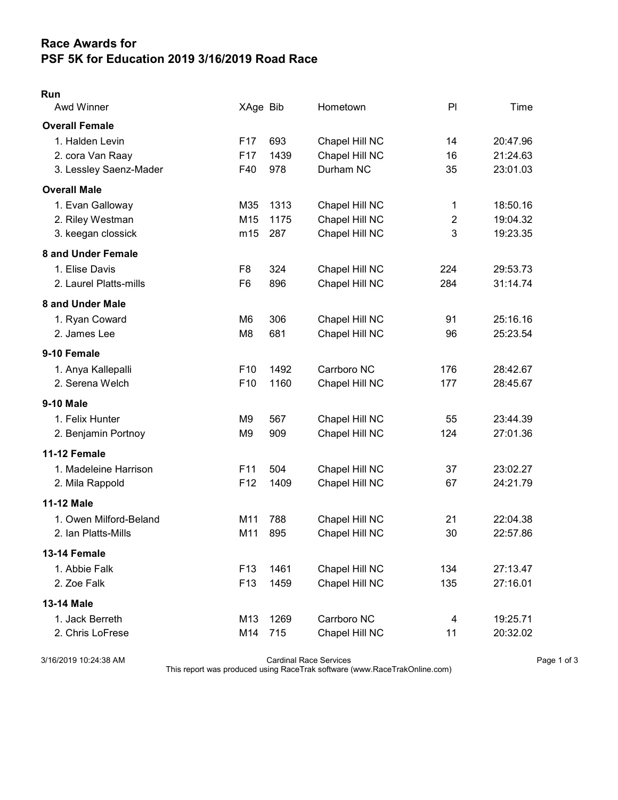## Race Awards for PSF 5K for Education 2019 3/16/2019 Road Race

## Run

| Awd Winner             | XAge Bib        |      | Hometown       | PI             | Time     |
|------------------------|-----------------|------|----------------|----------------|----------|
| <b>Overall Female</b>  |                 |      |                |                |          |
| 1. Halden Levin        | F <sub>17</sub> | 693  | Chapel Hill NC | 14             | 20:47.96 |
| 2. cora Van Raay       | F <sub>17</sub> | 1439 | Chapel Hill NC | 16             | 21:24.63 |
| 3. Lessley Saenz-Mader | F40             | 978  | Durham NC      | 35             | 23:01.03 |
| <b>Overall Male</b>    |                 |      |                |                |          |
| 1. Evan Galloway       | M35             | 1313 | Chapel Hill NC | 1              | 18:50.16 |
| 2. Riley Westman       | M15             | 1175 | Chapel Hill NC | $\overline{2}$ | 19:04.32 |
| 3. keegan clossick     | m15             | 287  | Chapel Hill NC | 3              | 19:23.35 |
| 8 and Under Female     |                 |      |                |                |          |
| 1. Elise Davis         | F <sub>8</sub>  | 324  | Chapel Hill NC | 224            | 29:53.73 |
| 2. Laurel Platts-mills | F <sub>6</sub>  | 896  | Chapel Hill NC | 284            | 31:14.74 |
| 8 and Under Male       |                 |      |                |                |          |
| 1. Ryan Coward         | M6              | 306  | Chapel Hill NC | 91             | 25:16.16 |
| 2. James Lee           | M <sub>8</sub>  | 681  | Chapel Hill NC | 96             | 25:23.54 |
| 9-10 Female            |                 |      |                |                |          |
| 1. Anya Kallepalli     | F <sub>10</sub> | 1492 | Carrboro NC    | 176            | 28:42.67 |
| 2. Serena Welch        | F10             | 1160 | Chapel Hill NC | 177            | 28:45.67 |
| <b>9-10 Male</b>       |                 |      |                |                |          |
| 1. Felix Hunter        | M <sub>9</sub>  | 567  | Chapel Hill NC | 55             | 23:44.39 |
| 2. Benjamin Portnoy    | M <sub>9</sub>  | 909  | Chapel Hill NC | 124            | 27:01.36 |
| 11-12 Female           |                 |      |                |                |          |
| 1. Madeleine Harrison  | F11             | 504  | Chapel Hill NC | 37             | 23:02.27 |
| 2. Mila Rappold        | F <sub>12</sub> | 1409 | Chapel Hill NC | 67             | 24:21.79 |
| <b>11-12 Male</b>      |                 |      |                |                |          |
| 1. Owen Milford-Beland | M11             | 788  | Chapel Hill NC | 21             | 22:04.38 |
| 2. Ian Platts-Mills    | M11             | 895  | Chapel Hill NC | 30             | 22:57.86 |
| 13-14 Female           |                 |      |                |                |          |
| 1. Abbie Falk          | F <sub>13</sub> | 1461 | Chapel Hill NC | 134            | 27:13.47 |
| 2. Zoe Falk            | F <sub>13</sub> | 1459 | Chapel Hill NC | 135            | 27:16.01 |
| <b>13-14 Male</b>      |                 |      |                |                |          |
| 1. Jack Berreth        | M13             | 1269 | Carrboro NC    | 4              | 19:25.71 |
| 2. Chris LoFrese       | M14             | 715  | Chapel Hill NC | 11             | 20:32.02 |

3/16/2019 10:24:38 AM Cardinal Race Services Page 1 of 3

This report was produced using RaceTrak software (www.RaceTrakOnline.com)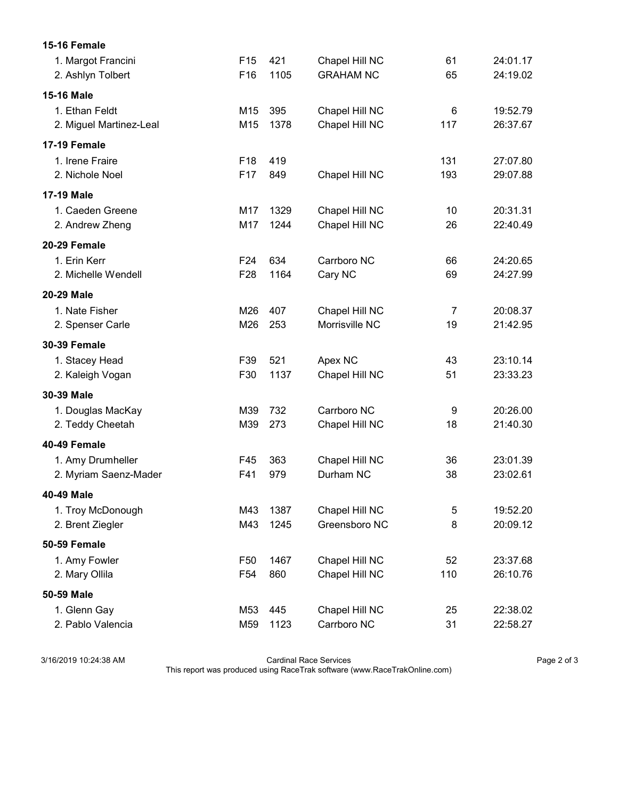| 15-16 Female            |                 |      |                  |     |          |
|-------------------------|-----------------|------|------------------|-----|----------|
| 1. Margot Francini      | F <sub>15</sub> | 421  | Chapel Hill NC   | 61  | 24:01.17 |
| 2. Ashlyn Tolbert       | F16             | 1105 | <b>GRAHAM NC</b> | 65  | 24:19.02 |
| <b>15-16 Male</b>       |                 |      |                  |     |          |
| 1. Ethan Feldt          | M15             | 395  | Chapel Hill NC   | 6   | 19:52.79 |
| 2. Miguel Martinez-Leal | M15             | 1378 | Chapel Hill NC   | 117 | 26:37.67 |
| <b>17-19 Female</b>     |                 |      |                  |     |          |
| 1. Irene Fraire         | F <sub>18</sub> | 419  |                  | 131 | 27:07.80 |
| 2. Nichole Noel         | F <sub>17</sub> | 849  | Chapel Hill NC   | 193 | 29:07.88 |
| <b>17-19 Male</b>       |                 |      |                  |     |          |
| 1. Caeden Greene        | M17             | 1329 | Chapel Hill NC   | 10  | 20:31.31 |
| 2. Andrew Zheng         | M17             | 1244 | Chapel Hill NC   | 26  | 22:40.49 |
| 20-29 Female            |                 |      |                  |     |          |
| 1. Erin Kerr            | F <sub>24</sub> | 634  | Carrboro NC      | 66  | 24:20.65 |
| 2. Michelle Wendell     | F <sub>28</sub> | 1164 | Cary NC          | 69  | 24:27.99 |
| 20-29 Male              |                 |      |                  |     |          |
| 1. Nate Fisher          | M26             | 407  | Chapel Hill NC   | 7   | 20:08.37 |
| 2. Spenser Carle        | M26             | 253  | Morrisville NC   | 19  | 21:42.95 |
| <b>30-39 Female</b>     |                 |      |                  |     |          |
| 1. Stacey Head          | F39             | 521  | Apex NC          | 43  | 23:10.14 |
| 2. Kaleigh Vogan        | F30             | 1137 | Chapel Hill NC   | 51  | 23:33.23 |
| 30-39 Male              |                 |      |                  |     |          |
| 1. Douglas MacKay       | M39             | 732  | Carrboro NC      | 9   | 20:26.00 |
| 2. Teddy Cheetah        | M39             | 273  | Chapel Hill NC   | 18  | 21:40.30 |
| 40-49 Female            |                 |      |                  |     |          |
| 1. Amy Drumheller       | F45             | 363  | Chapel Hill NC   | 36  | 23:01.39 |
| 2. Myriam Saenz-Mader   | F41             | 979  | Durham NC        | 38  | 23:02.61 |
| 40-49 Male              |                 |      |                  |     |          |
| 1. Troy McDonough       | M43             | 1387 | Chapel Hill NC   | 5   | 19:52.20 |
| 2. Brent Ziegler        | M43             | 1245 | Greensboro NC    | 8   | 20:09.12 |
| 50-59 Female            |                 |      |                  |     |          |
| 1. Amy Fowler           | F <sub>50</sub> | 1467 | Chapel Hill NC   | 52  | 23:37.68 |
| 2. Mary Ollila          | F <sub>54</sub> | 860  | Chapel Hill NC   | 110 | 26:10.76 |
| 50-59 Male              |                 |      |                  |     |          |
| 1. Glenn Gay            | M <sub>53</sub> | 445  | Chapel Hill NC   | 25  | 22:38.02 |
| 2. Pablo Valencia       | M59             | 1123 | Carrboro NC      | 31  | 22:58.27 |

3/16/2019 10:24:38 AM Cardinal Race Services Page 2 of 3

This report was produced using RaceTrak software (www.RaceTrakOnline.com)